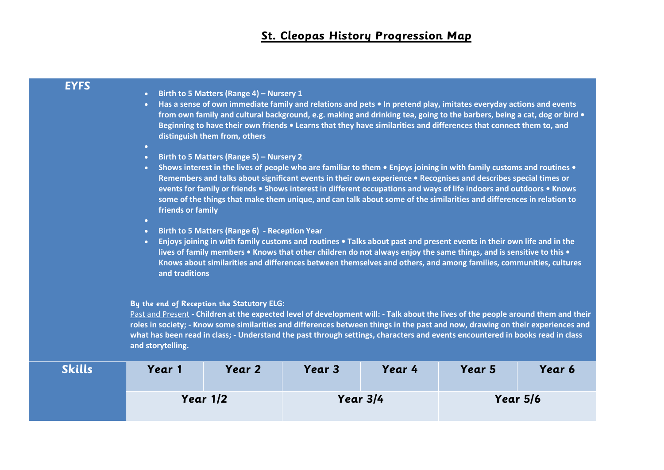## **St. Cleopas History Progression Map**

## **EYFS**

- **Birth to 5 Matters (Range 4) – Nursery 1**
- **Has a sense of own immediate family and relations and pets In pretend play, imitates everyday actions and events from own family and cultural background, e.g. making and drinking tea, going to the barbers, being a cat, dog or bird • Beginning to have their own friends • Learns that they have similarities and differences that connect them to, and distinguish them from, others**
- **Birth to 5 Matters (Range 5) – Nursery 2**
- **Shows interest in the lives of people who are familiar to them Enjoys joining in with family customs and routines Remembers and talks about significant events in their own experience • Recognises and describes special times or events for family or friends • Shows interest in different occupations and ways of life indoors and outdoors • Knows some of the things that make them unique, and can talk about some of the similarities and differences in relation to friends or family**
- •
- **Birth to 5 Matters (Range 6) - Reception Year**
- **Enjoys joining in with family customs and routines Talks about past and present events in their own life and in the lives of family members • Knows that other children do not always enjoy the same things, and is sensitive to this • Knows about similarities and differences between themselves and others, and among families, communities, cultures and traditions**

## **By the end of Reception the Statutory ELG:**

Past and Present **- Children at the expected level of development will: - Talk about the lives of the people around them and their roles in society; - Know some similarities and differences between things in the past and now, drawing on their experiences and what has been read in class; - Understand the past through settings, characters and events encountered in books read in class and storytelling.**

| <b>Skills</b> | Year 1   | Year 2 | Year 3   | Year 4 | Year 5   | Year 6 |
|---------------|----------|--------|----------|--------|----------|--------|
|               | Year 1/2 |        | Year 3/4 |        | Year 5/6 |        |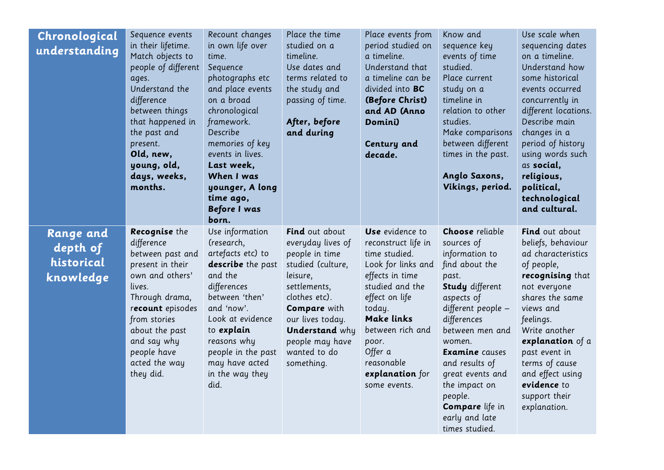| Chronological<br>understanding                          | Sequence events<br>in their lifetime.<br>Match objects to<br>people of different<br>ages.<br>Understand the<br>difference<br>between things<br>that happened in<br>the past and<br>present.<br>Old, new,<br>young, old,<br>days, weeks,<br>months. | Recount changes<br>in own life over<br>time.<br>Sequence<br>photographs etc<br>and place events<br>on a broad<br>chronological<br>framework.<br>Describe<br>memories of key<br>events in lives.<br>Last week,<br>When I was<br>younger, A long<br>time ago,<br><b>Before I was</b><br>born. | Place the time<br>studied on a<br>timeline.<br>Use dates and<br>terms related to<br>the study and<br>passing of time.<br>After, before<br>and during                                                                                                | Place events from<br>period studied on<br>a timeline.<br>Understand that<br>a timeline can be<br>divided into <b>BC</b><br>(Before Christ)<br>and AD (Anno<br>Domini)<br>Century and<br>decade.                                                               | Know and<br>sequence key<br>events of time<br>studied.<br>Place current<br>study on a<br>timeline in<br>relation to other<br>studies.<br>Make comparisons<br>between different<br>times in the past.<br>Anglo Saxons,<br>Vikings, period.                                                                                                            | Use scale when<br>sequencing dates<br>on a timeline.<br>Understand how<br>some historical<br>events occurred<br>concurrently in<br>different locations.<br>Describe main<br>changes in a<br>period of history<br>using words such<br>as social,<br>religious,<br>political,<br>technological<br>and cultural. |
|---------------------------------------------------------|----------------------------------------------------------------------------------------------------------------------------------------------------------------------------------------------------------------------------------------------------|---------------------------------------------------------------------------------------------------------------------------------------------------------------------------------------------------------------------------------------------------------------------------------------------|-----------------------------------------------------------------------------------------------------------------------------------------------------------------------------------------------------------------------------------------------------|---------------------------------------------------------------------------------------------------------------------------------------------------------------------------------------------------------------------------------------------------------------|------------------------------------------------------------------------------------------------------------------------------------------------------------------------------------------------------------------------------------------------------------------------------------------------------------------------------------------------------|---------------------------------------------------------------------------------------------------------------------------------------------------------------------------------------------------------------------------------------------------------------------------------------------------------------|
| <b>Range and</b><br>depth of<br>historical<br>knowledge | Recognise the<br>difference<br>between past and<br>present in their<br>own and others'<br>lives.<br>Through drama,<br>recount episodes<br>from stories<br>about the past<br>and say why<br>people have<br>acted the way<br>they did.               | Use information<br>(research,<br>artefacts etc) to<br>describe the past<br>and the<br>differences<br>between 'then'<br>and 'now'.<br>Look at evidence<br>to explain<br>reasons why<br>people in the past<br>may have acted<br>in the way they<br>did.                                       | <b>Find</b> out about<br>everyday lives of<br>people in time<br>studied (culture,<br>leisure,<br>settlements,<br>clothes etc).<br><b>Compare</b> with<br>our lives today.<br><b>Understand</b> why<br>people may have<br>wanted to do<br>something. | Use evidence to<br>reconstruct life in<br>time studied.<br>Look for links and<br>effects in time<br>studied and the<br>effect on life<br>today.<br><b>Make links</b><br>between rich and<br>poor.<br>Offer a<br>reasonable<br>explanation for<br>some events. | <b>Choose</b> reliable<br>sources of<br>information to<br>find about the<br>past.<br><b>Study</b> different<br>aspects of<br>different people -<br>differences<br>between men and<br>women.<br><b>Examine</b> causes<br>and results of<br>great events and<br>the impact on<br>people.<br><b>Compare</b> life in<br>early and late<br>times studied. | <b>Find</b> out about<br>beliefs, behaviour<br>ad characteristics<br>of people,<br>recognising that<br>not everyone<br>shares the same<br>views and<br>feelings.<br>Write another<br>explanation of a<br>past event in<br>terms of cause<br>and effect using<br>evidence to<br>support their<br>explanation.  |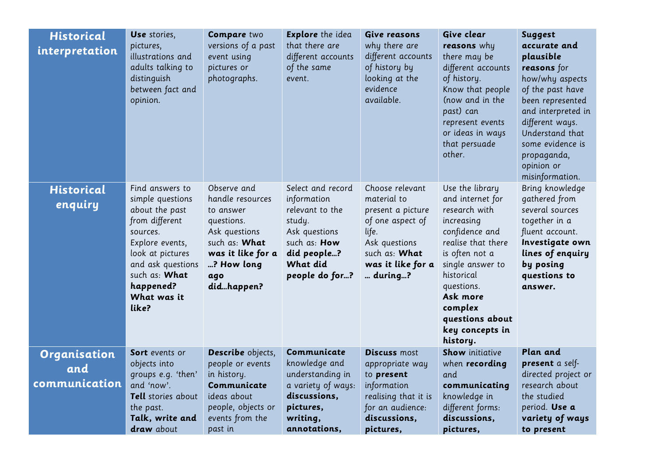| <b>Historical</b><br>interpretation         | Use stories,<br>pictures,<br>illustrations and<br>adults talking to<br>distinguish<br>between fact and<br>opinion.                                                                                    | <b>Compare two</b><br>versions of a past<br>event using<br>pictures or<br>photographs.                                                               | <b>Explore</b> the idea<br>that there are<br>different accounts<br>of the same<br>event.                                                    | Give reasons<br>why there are<br>different accounts<br>of history by<br>looking at the<br>evidence<br>available.                                   | Give clear<br>reasons why<br>there may be<br>different accounts<br>of history.<br>Know that people<br>(now and in the<br>past) can<br>represent events<br>or ideas in ways<br>that persuade<br>other.                                                 | <b>Suggest</b><br>accurate and<br>plausible<br>reasons for<br>how/why aspects<br>of the past have<br>been represented<br>and interpreted in<br>different ways.<br>Understand that<br>some evidence is<br>propaganda,<br>opinion or<br>misinformation. |
|---------------------------------------------|-------------------------------------------------------------------------------------------------------------------------------------------------------------------------------------------------------|------------------------------------------------------------------------------------------------------------------------------------------------------|---------------------------------------------------------------------------------------------------------------------------------------------|----------------------------------------------------------------------------------------------------------------------------------------------------|-------------------------------------------------------------------------------------------------------------------------------------------------------------------------------------------------------------------------------------------------------|-------------------------------------------------------------------------------------------------------------------------------------------------------------------------------------------------------------------------------------------------------|
| <b>Historical</b><br>enquiry                | Find answers to<br>simple questions<br>about the past<br>from different<br>sources.<br>Explore events,<br>look at pictures<br>and ask questions<br>such as: What<br>happened?<br>What was it<br>like? | Observe and<br>handle resources<br>to answer<br>questions.<br>Ask questions<br>such as: What<br>was it like for a<br>? How long<br>ago<br>didhappen? | Select and record<br>information<br>relevant to the<br>study.<br>Ask questions<br>such as: How<br>did people?<br>What did<br>people do for? | Choose relevant<br>material to<br>present a picture<br>of one aspect of<br>life.<br>Ask questions<br>such as: What<br>was it like for a<br>during? | Use the library<br>and internet for<br>research with<br>increasing<br>confidence and<br>realise that there<br>is often not a<br>single answer to<br>historical<br>questions.<br>Ask more<br>complex<br>questions about<br>key concepts in<br>history. | Bring knowledge<br>gathered from<br>several sources<br>together in a<br>fluent account.<br>Investigate own<br>lines of enquiry<br>by posing<br>questions to<br>answer.                                                                                |
| <b>Organisation</b><br>and<br>communication | <b>Sort</b> events or<br>objects into<br>groups e.g. 'then'<br>and 'now'.<br>Tell stories about<br>the past.<br>Talk, write and<br>draw about                                                         | Describe objects,<br>people or events<br>in history.<br>Communicate<br>ideas about<br>people, objects or<br>events from the<br>past in               | Communicate<br>knowledge and<br>understanding in<br>a variety of ways:<br>discussions,<br>pictures,<br>writing,<br>annotations,             | <b>Discuss most</b><br>appropriate way<br>to present<br>information<br>realising that it is<br>for an audience:<br>discussions,<br>pictures,       | <b>Show</b> initiative<br>when <b>recording</b><br>and<br>communicating<br>knowledge in<br>different forms:<br>discussions,<br>pictures,                                                                                                              | Plan and<br>present a self-<br>directed project or<br>research about<br>the studied<br>period. Use a<br>variety of ways<br>to present                                                                                                                 |